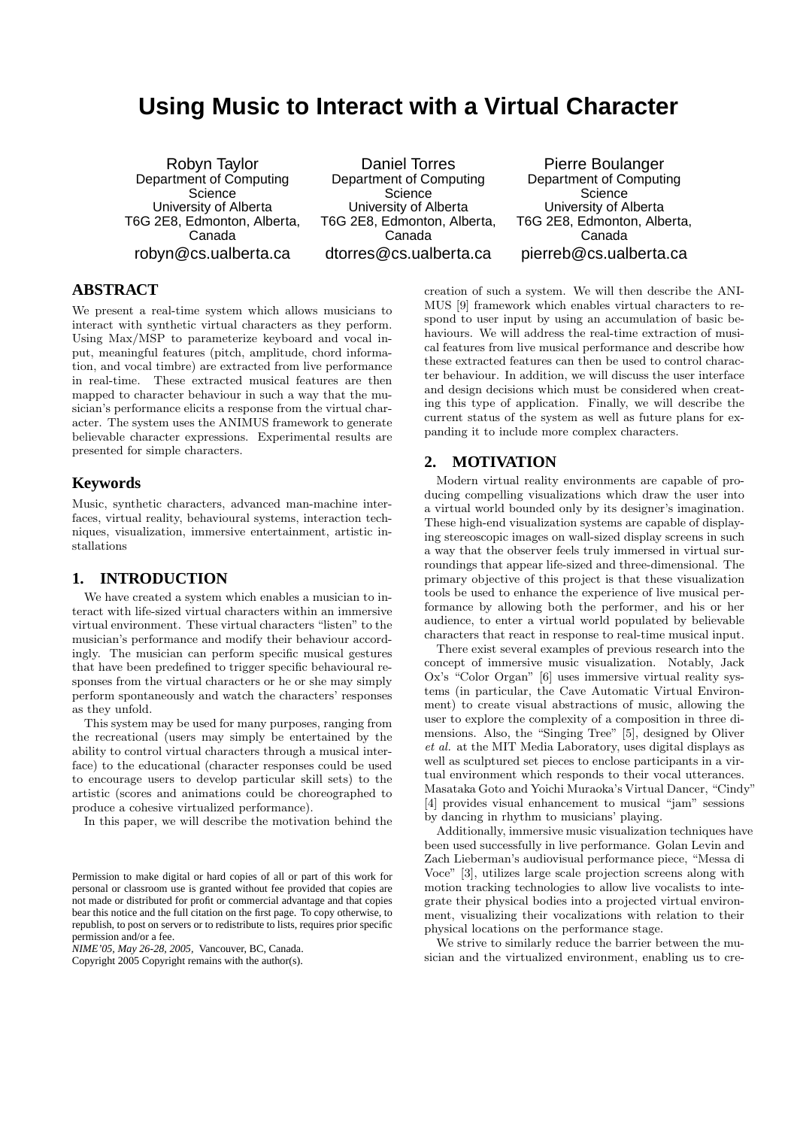# **Using Music to Interact with a Virtual Character**

Robyn Taylor Department of Computing **Science** University of Alberta T6G 2E8, Edmonton, Alberta, Canada robyn@cs.ualberta.ca

Daniel Torres Department of Computing **Science** University of Alberta T6G 2E8, Edmonton, Alberta, Canada dtorres@cs.ualberta.ca

Pierre Boulanger Department of Computing **Science** University of Alberta T6G 2E8, Edmonton, Alberta, Canada pierreb@cs.ualberta.ca

# **ABSTRACT**

We present a real-time system which allows musicians to interact with synthetic virtual characters as they perform. Using Max/MSP to parameterize keyboard and vocal input, meaningful features (pitch, amplitude, chord information, and vocal timbre) are extracted from live performance in real-time. These extracted musical features are then mapped to character behaviour in such a way that the musician's performance elicits a response from the virtual character. The system uses the ANIMUS framework to generate believable character expressions. Experimental results are presented for simple characters.

#### **Keywords**

Music, synthetic characters, advanced man-machine interfaces, virtual reality, behavioural systems, interaction techniques, visualization, immersive entertainment, artistic installations

## **1. INTRODUCTION**

We have created a system which enables a musician to interact with life-sized virtual characters within an immersive virtual environment. These virtual characters "listen" to the musician's performance and modify their behaviour accordingly. The musician can perform specific musical gestures that have been predefined to trigger specific behavioural responses from the virtual characters or he or she may simply perform spontaneously and watch the characters' responses as they unfold.

This system may be used for many purposes, ranging from the recreational (users may simply be entertained by the ability to control virtual characters through a musical interface) to the educational (character responses could be used to encourage users to develop particular skill sets) to the artistic (scores and animations could be choreographed to produce a cohesive virtualized performance).

In this paper, we will describe the motivation behind the

*NIME'05, May 26-28, 2005,* Vancouver, BC, Canada. Copyright 2005 Copyright remains with the author(s).

creation of such a system. We will then describe the ANI-MUS [9] framework which enables virtual characters to respond to user input by using an accumulation of basic behaviours. We will address the real-time extraction of musical features from live musical performance and describe how these extracted features can then be used to control character behaviour. In addition, we will discuss the user interface and design decisions which must be considered when creating this type of application. Finally, we will describe the current status of the system as well as future plans for expanding it to include more complex characters.

## **2. MOTIVATION**

Modern virtual reality environments are capable of producing compelling visualizations which draw the user into a virtual world bounded only by its designer's imagination. These high-end visualization systems are capable of displaying stereoscopic images on wall-sized display screens in such a way that the observer feels truly immersed in virtual surroundings that appear life-sized and three-dimensional. The primary objective of this project is that these visualization tools be used to enhance the experience of live musical performance by allowing both the performer, and his or her audience, to enter a virtual world populated by believable characters that react in response to real-time musical input.

There exist several examples of previous research into the concept of immersive music visualization. Notably, Jack Ox's "Color Organ" [6] uses immersive virtual reality systems (in particular, the Cave Automatic Virtual Environment) to create visual abstractions of music, allowing the user to explore the complexity of a composition in three dimensions. Also, the "Singing Tree" [5], designed by Oliver et al. at the MIT Media Laboratory, uses digital displays as well as sculptured set pieces to enclose participants in a virtual environment which responds to their vocal utterances. Masataka Goto and Yoichi Muraoka's Virtual Dancer, "Cindy" [4] provides visual enhancement to musical "jam" sessions by dancing in rhythm to musicians' playing.

Additionally, immersive music visualization techniques have been used successfully in live performance. Golan Levin and Zach Lieberman's audiovisual performance piece, "Messa di Voce" [3], utilizes large scale projection screens along with motion tracking technologies to allow live vocalists to integrate their physical bodies into a projected virtual environment, visualizing their vocalizations with relation to their physical locations on the performance stage.

We strive to similarly reduce the barrier between the musician and the virtualized environment, enabling us to cre-

Permission to make digital or hard copies of all or part of this work for personal or classroom use is granted without fee provided that copies are not made or distributed for profit or commercial advantage and that copies bear this notice and the full citation on the first page. To copy otherwise, to republish, to post on servers or to redistribute to lists, requires prior specific permission and/or a fee.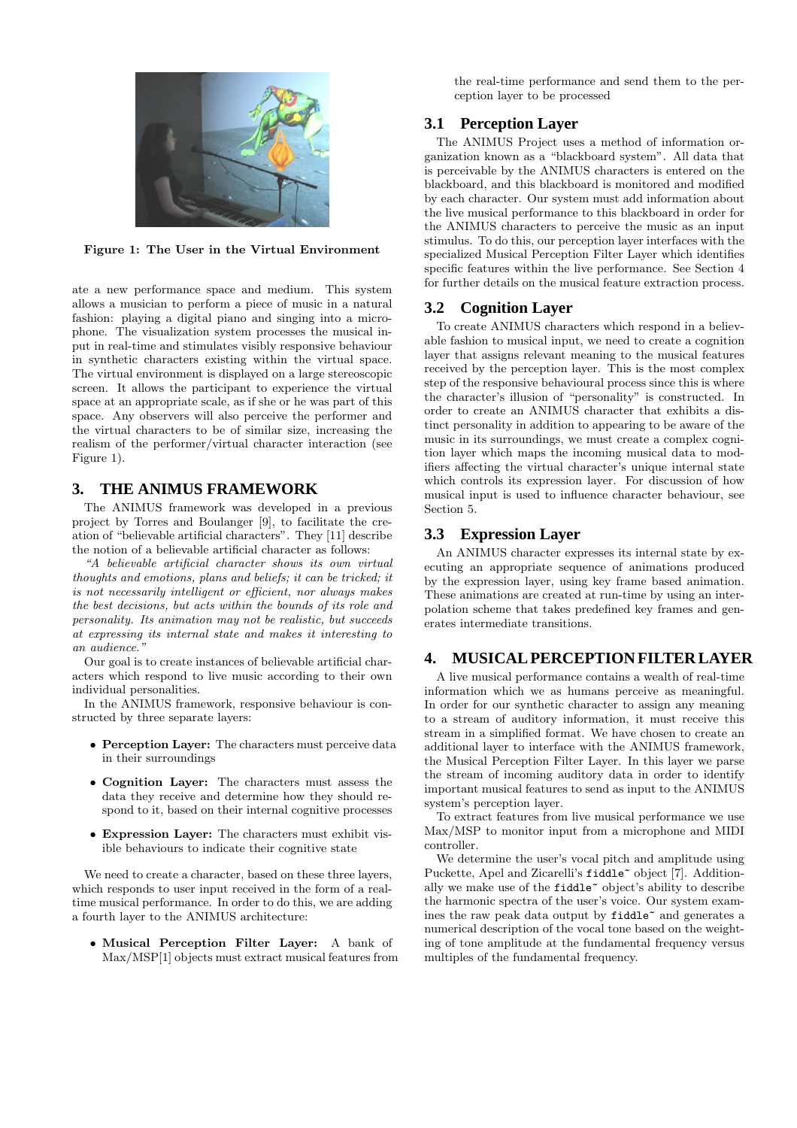

Figure 1: The User in the Virtual Environment

ate a new performance space and medium. This system allows a musician to perform a piece of music in a natural fashion: playing a digital piano and singing into a microphone. The visualization system processes the musical input in real-time and stimulates visibly responsive behaviour in synthetic characters existing within the virtual space. The virtual environment is displayed on a large stereoscopic screen. It allows the participant to experience the virtual space at an appropriate scale, as if she or he was part of this space. Any observers will also perceive the performer and the virtual characters to be of similar size, increasing the realism of the performer/virtual character interaction (see Figure 1).

## **3. THE ANIMUS FRAMEWORK**

The ANIMUS framework was developed in a previous project by Torres and Boulanger [9], to facilitate the creation of "believable artificial characters". They [11] describe the notion of a believable artificial character as follows:

"A believable artificial character shows its own virtual thoughts and emotions, plans and beliefs; it can be tricked; it is not necessarily intelligent or efficient, nor always makes the best decisions, but acts within the bounds of its role and personality. Its animation may not be realistic, but succeeds at expressing its internal state and makes it interesting to an audience.'

Our goal is to create instances of believable artificial characters which respond to live music according to their own individual personalities.

In the ANIMUS framework, responsive behaviour is constructed by three separate layers:

- Perception Layer: The characters must perceive data in their surroundings
- Cognition Layer: The characters must assess the data they receive and determine how they should respond to it, based on their internal cognitive processes
- Expression Layer: The characters must exhibit visible behaviours to indicate their cognitive state

We need to create a character, based on these three layers, which responds to user input received in the form of a realtime musical performance. In order to do this, we are adding a fourth layer to the ANIMUS architecture:

• Musical Perception Filter Layer: A bank of Max/MSP[1] objects must extract musical features from the real-time performance and send them to the perception layer to be processed

# **3.1 Perception Layer**

The ANIMUS Project uses a method of information organization known as a "blackboard system". All data that is perceivable by the ANIMUS characters is entered on the blackboard, and this blackboard is monitored and modified by each character. Our system must add information about the live musical performance to this blackboard in order for the ANIMUS characters to perceive the music as an input stimulus. To do this, our perception layer interfaces with the specialized Musical Perception Filter Layer which identifies specific features within the live performance. See Section 4 for further details on the musical feature extraction process.

## **3.2 Cognition Layer**

To create ANIMUS characters which respond in a believable fashion to musical input, we need to create a cognition layer that assigns relevant meaning to the musical features received by the perception layer. This is the most complex step of the responsive behavioural process since this is where the character's illusion of "personality" is constructed. In order to create an ANIMUS character that exhibits a distinct personality in addition to appearing to be aware of the music in its surroundings, we must create a complex cognition layer which maps the incoming musical data to modifiers affecting the virtual character's unique internal state which controls its expression layer. For discussion of how musical input is used to influence character behaviour, see Section 5.

## **3.3 Expression Layer**

An ANIMUS character expresses its internal state by executing an appropriate sequence of animations produced by the expression layer, using key frame based animation. These animations are created at run-time by using an interpolation scheme that takes predefined key frames and generates intermediate transitions.

# **4. MUSICAL PERCEPTION FILTER LAYER**

A live musical performance contains a wealth of real-time information which we as humans perceive as meaningful. In order for our synthetic character to assign any meaning to a stream of auditory information, it must receive this stream in a simplified format. We have chosen to create an additional layer to interface with the ANIMUS framework, the Musical Perception Filter Layer. In this layer we parse the stream of incoming auditory data in order to identify important musical features to send as input to the ANIMUS system's perception layer.

To extract features from live musical performance we use Max/MSP to monitor input from a microphone and MIDI controller.

We determine the user's vocal pitch and amplitude using Puckette, Apel and Zicarelli's fiddle<sup>~</sup> object [7]. Additionally we make use of the fiddle~ object's ability to describe the harmonic spectra of the user's voice. Our system examines the raw peak data output by fiddle~ and generates a numerical description of the vocal tone based on the weighting of tone amplitude at the fundamental frequency versus multiples of the fundamental frequency.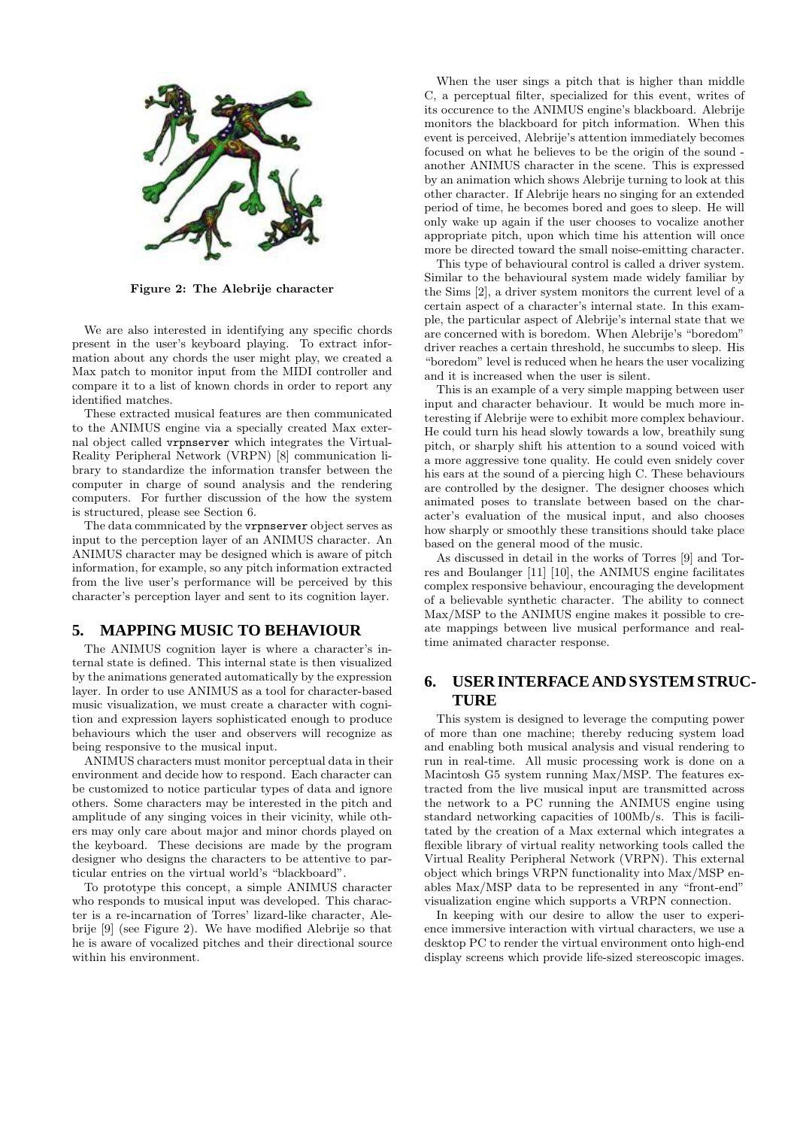

Figure 2: The Alebrije character

We are also interested in identifying any specific chords present in the user's keyboard playing. To extract information about any chords the user might play, we created a Max patch to monitor input from the MIDI controller and compare it to a list of known chords in order to report any identified matches.

These extracted musical features are then communicated to the ANIMUS engine via a specially created Max external object called vrpnserver which integrates the Virtual-Reality Peripheral Network (VRPN) [8] communication library to standardize the information transfer between the computer in charge of sound analysis and the rendering computers. For further discussion of the how the system is structured, please see Section 6.

The data commnicated by the vrpnserver object serves as input to the perception layer of an ANIMUS character. An ANIMUS character may be designed which is aware of pitch information, for example, so any pitch information extracted from the live user's performance will be perceived by this character's perception layer and sent to its cognition layer.

# **5. MAPPING MUSIC TO BEHAVIOUR**

The ANIMUS cognition layer is where a character's internal state is defined. This internal state is then visualized by the animations generated automatically by the expression layer. In order to use ANIMUS as a tool for character-based music visualization, we must create a character with cognition and expression layers sophisticated enough to produce behaviours which the user and observers will recognize as being responsive to the musical input.

ANIMUS characters must monitor perceptual data in their environment and decide how to respond. Each character can be customized to notice particular types of data and ignore others. Some characters may be interested in the pitch and amplitude of any singing voices in their vicinity, while others may only care about major and minor chords played on the keyboard. These decisions are made by the program designer who designs the characters to be attentive to particular entries on the virtual world's "blackboard".

To prototype this concept, a simple ANIMUS character who responds to musical input was developed. This character is a re-incarnation of Torres' lizard-like character, Alebrije [9] (see Figure 2). We have modified Alebrije so that he is aware of vocalized pitches and their directional source within his environment.

When the user sings a pitch that is higher than middle C, a perceptual filter, specialized for this event, writes of its occurence to the ANIMUS engine's blackboard. Alebrije monitors the blackboard for pitch information. When this event is perceived, Alebrije's attention immediately becomes focused on what he believes to be the origin of the sound another ANIMUS character in the scene. This is expressed by an animation which shows Alebrije turning to look at this other character. If Alebrije hears no singing for an extended period of time, he becomes bored and goes to sleep. He will only wake up again if the user chooses to vocalize another appropriate pitch, upon which time his attention will once more be directed toward the small noise-emitting character.

This type of behavioural control is called a driver system. Similar to the behavioural system made widely familiar by the Sims [2], a driver system monitors the current level of a certain aspect of a character's internal state. In this example, the particular aspect of Alebrije's internal state that we are concerned with is boredom. When Alebrije's "boredom" driver reaches a certain threshold, he succumbs to sleep. His "boredom" level is reduced when he hears the user vocalizing and it is increased when the user is silent.

This is an example of a very simple mapping between user input and character behaviour. It would be much more interesting if Alebrije were to exhibit more complex behaviour. He could turn his head slowly towards a low, breathily sung pitch, or sharply shift his attention to a sound voiced with a more aggressive tone quality. He could even snidely cover his ears at the sound of a piercing high C. These behaviours are controlled by the designer. The designer chooses which animated poses to translate between based on the character's evaluation of the musical input, and also chooses how sharply or smoothly these transitions should take place based on the general mood of the music.

As discussed in detail in the works of Torres [9] and Torres and Boulanger [11] [10], the ANIMUS engine facilitates complex responsive behaviour, encouraging the development of a believable synthetic character. The ability to connect Max/MSP to the ANIMUS engine makes it possible to create mappings between live musical performance and realtime animated character response.

## **6. USER INTERFACE AND SYSTEM STRUC-TURE**

This system is designed to leverage the computing power of more than one machine; thereby reducing system load and enabling both musical analysis and visual rendering to run in real-time. All music processing work is done on a Macintosh G5 system running Max/MSP. The features extracted from the live musical input are transmitted across the network to a PC running the ANIMUS engine using standard networking capacities of 100Mb/s. This is facilitated by the creation of a Max external which integrates a flexible library of virtual reality networking tools called the Virtual Reality Peripheral Network (VRPN). This external object which brings VRPN functionality into Max/MSP enables Max/MSP data to be represented in any "front-end" visualization engine which supports a VRPN connection.

In keeping with our desire to allow the user to experience immersive interaction with virtual characters, we use a desktop PC to render the virtual environment onto high-end display screens which provide life-sized stereoscopic images.